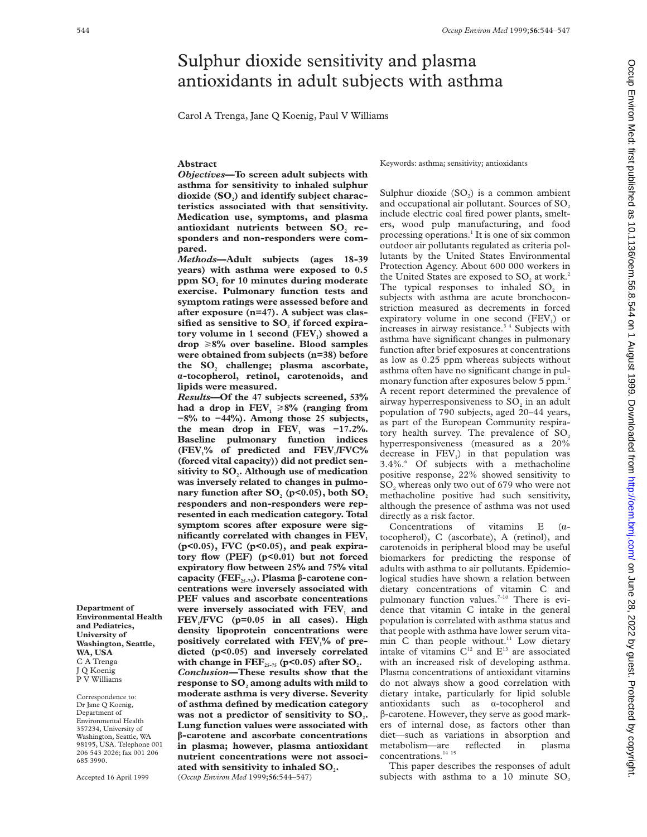## Sulphur dioxide sensitivity and plasma antioxidants in adult subjects with asthma

Carol A Trenga, Jane Q Koenig, Paul V Williams

**Abstract**

*Objectives***—To screen adult subjects with asthma for sensitivity to inhaled sulphur** dioxide (SO<sub>2</sub>) and identify subject charac**teristics associated with that sensitivity. Medication use, symptoms, and plasma** antioxidant nutrients between SO<sub>2</sub> re**sponders and non-responders were compared.**

*Methods***—Adult subjects (ages 18-39 years) with asthma were exposed to 0.5 ppm SO**, for 10 minutes during moderate **exercise. Pulmonary function tests and symptom ratings were assessed before and after exposure (n=47). A subject was clas**sified as sensitive to SO<sub>2</sub> if forced expiratory volume in 1 second (FEV<sub>1</sub>) showed a **drop** >**8% over baseline. Blood samples were obtained from subjects (n=38) before** the SO<sub>2</sub> challenge; plasma ascorbate, **á-tocopherol, retinol, carotenoids, and lipids were measured.**

*Results***—Of the 47 subjects screened, 53%** had a drop in  $\text{FEV}_1 \geq 8\%$  (ranging from **−8% to −44%). Among those 25 subjects,** the mean drop in  $FEV_1$  was  $-17.2\%$ . **Baseline pulmonary function indices (FEV1% of predicted and FEV1/FVC% (forced vital capacity)) did not predict sen**sitivity to SO<sub>2</sub>. Although use of medication **was inversely related to changes in pulmo**nary function after  $SO_2$  (p<0.05), both  $SO_2$ **responders and non-responders were represented in each medication category. Total symptom scores after exposure were sig**nificantly correlated with changes in FEV<sub>1</sub> **(p<0.05), FVC (p<0.05), and peak expiratory flow (PEF) (p<0.01) but not forced expiratory flow between 25% and 75% vital capacity (FEF25-75). Plasma â-carotene concentrations were inversely associated with PEF values and ascorbate concentrations** were inversely associated with FEV<sub>1</sub> and FEV<sub>1</sub>/FVC (p=0.05 in all cases). High **density lipoprotein concentrations were** positively correlated with FEV<sub>1</sub>% of pre**dicted (p<0.05) and inversely correlated** with change in  $\text{FEF}_{25-75}$  (p<0.05) after  $\text{SO}_2$ . *Conclusion***—These results show that the** response to SO<sub>2</sub> among adults with mild to **moderate asthma is very diverse. Severity of asthma defined by medication category** was not a predictor of sensitivity to SO<sub>2</sub>. **Lung function values were associated with â-carotene and ascorbate concentrations in plasma; however, plasma antioxidant nutrient concentrations were not associ**ated with sensitivity to inhaled SO<sub>.</sub>.

(*Occup Environ Med* 1999;**56**:544–547)

Keywords: asthma; sensitivity; antioxidants

Sulphur dioxide  $(SO<sub>2</sub>)$  is a common ambient and occupational air pollutant. Sources of SO<sub>2</sub> include electric coal fired power plants, smelters, wood pulp manufacturing, and food processing operations.1 It is one of six common outdoor air pollutants regulated as criteria pollutants by the United States Environmental Protection Agency. About 600 000 workers in the United States are exposed to  $SO<sub>2</sub>$  at work.<sup>2</sup> The typical responses to inhaled SO<sub>2</sub> in subjects with asthma are acute bronchoconstriction measured as decrements in forced expiratory volume in one second  $(FEV_1)$  or increases in airway resistance.<sup>34</sup> Subjects with asthma have significant changes in pulmonary function after brief exposures at concentrations as low as 0.25 ppm whereas subjects without asthma often have no significant change in pulmonary function after exposures below 5 ppm.<sup>5</sup> A recent report determined the prevalence of airway hyperresponsiveness to  $SO<sub>2</sub>$  in an adult population of 790 subjects, aged 20–44 years, as part of the European Community respiratory health survey. The prevalence of  $SO<sub>2</sub>$ hyperresponsiveness (measured as a 20% decrease in  $FEV<sub>1</sub>$ ) in that population was  $3.4\%$ .<sup>6</sup> Of subjects with a methacholine positive response, 22% showed sensitivity to SO<sub>2</sub> whereas only two out of 679 who were not methacholine positive had such sensitivity, although the presence of asthma was not used directly as a risk factor.

Concentrations of vitamins  $E$  ( $\alpha$ tocopherol), C (ascorbate), A (retinol), and carotenoids in peripheral blood may be useful biomarkers for predicting the response of adults with asthma to air pollutants. Epidemiological studies have shown a relation between dietary concentrations of vitamin C and pulmonary function values.<sup>7-10</sup> There is evidence that vitamin C intake in the general population is correlated with asthma status and that people with asthma have lower serum vitamin C than people without.<sup>11</sup> Low dietary intake of vitamins  $C^{12}$  and  $E^{13}$  are associated with an increased risk of developing asthma. Plasma concentrations of antioxidant vitamins do not always show a good correlation with dietary intake, particularly for lipid soluble antioxidants such as  $\alpha$ -tocopherol and  $\beta$ -carotene. However, they serve as good markers of internal dose, as factors other than diet—such as variations in absorption and metabolism—are reflected in plasma concentrations.<sup>14</sup><sup>15</sup>

This paper describes the responses of adult subjects with asthma to a 10 minute  $SO_2$ 

**Department of Environmental Health and Pediatrics, University of Washington, Seattle,**

**WA, USA** C A Trenga J Q Koenig P V Williams Correspondence to: Dr Jane Q Koenig, Department of Environmental Health 357234, University of Washington, Seattle, WA 98195, USA. Telephone 001 206 543 2026; fax 001 206

685 3990.

Accepted 16 April 1999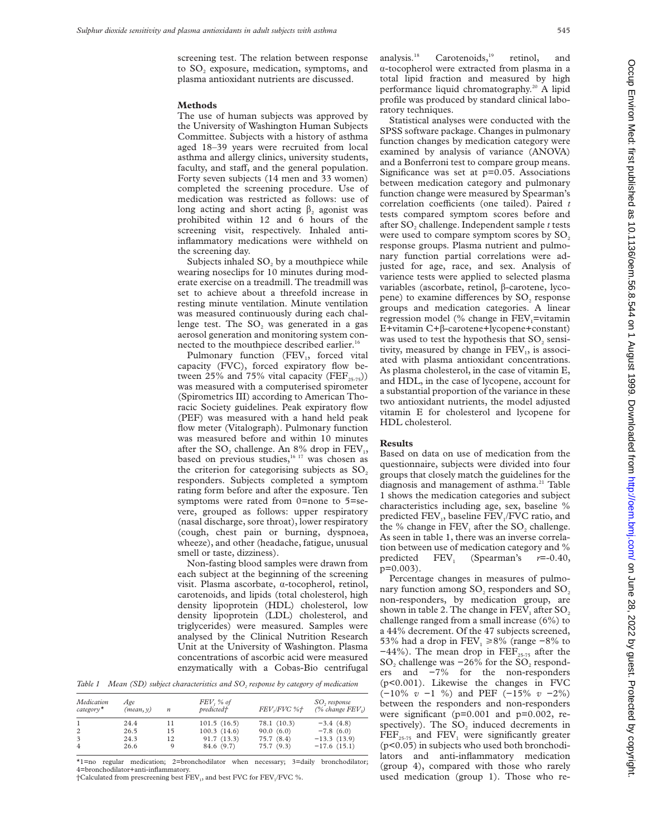screening test. The relation between response to SO<sub>2</sub> exposure, medication, symptoms, and plasma antioxidant nutrients are discussed.

## **Methods**

The use of human subjects was approved by the University of Washington Human Subjects Committee. Subjects with a history of asthma aged 18–39 years were recruited from local asthma and allergy clinics, university students, faculty, and staff, and the general population. Forty seven subjects (14 men and 33 women) completed the screening procedure. Use of medication was restricted as follows: use of long acting and short acting  $\beta$ , agonist was prohibited within 12 and 6 hours of the screening visit, respectively. Inhaled antiinflammatory medications were withheld on the screening day.

Subjects inhaled  $SO<sub>2</sub>$  by a mouthpiece while wearing noseclips for 10 minutes during moderate exercise on a treadmill. The treadmill was set to achieve about a threefold increase in resting minute ventilation. Minute ventilation was measured continuously during each challenge test. The  $SO<sub>2</sub>$  was generated in a gas aerosol generation and monitoring system connected to the mouthpiece described earlier.<sup>16</sup>

Pulmonary function (FEV<sub>1</sub>, forced vital capacity (FVC), forced expiratory flow between 25% and 75% vital capacity (FEF<sub>25-75</sub>)) was measured with a computerised spirometer (Spirometrics III) according to American Thoracic Society guidelines. Peak expiratory flow (PEF) was measured with a hand held peak flow meter (Vitalograph). Pulmonary function was measured before and within 10 minutes after the SO<sub>2</sub> challenge. An  $8\%$  drop in  $FEV_1$ , based on previous studies,<sup>16 17</sup> was chosen as the criterion for categorising subjects as  $SO<sub>2</sub>$ responders. Subjects completed a symptom rating form before and after the exposure. Ten symptoms were rated from 0=none to 5=severe, grouped as follows: upper respiratory (nasal discharge, sore throat), lower respiratory (cough, chest pain or burning, dyspnoea, wheeze), and other (headache, fatigue, unusual smell or taste, dizziness).

Non-fasting blood samples were drawn from each subject at the beginning of the screening visit. Plasma ascorbate,  $\alpha$ -tocopherol, retinol, carotenoids, and lipids (total cholesterol, high density lipoprotein (HDL) cholesterol, low density lipoprotein (LDL) cholesterol, and triglycerides) were measured. Samples were analysed by the Clinical Nutrition Research Unit at the University of Washington. Plasma concentrations of ascorbic acid were measured enzymatically with a Cobas-Bio centrifugal

*Table 1 Mean (SD) subject characteristics and SO<sub>2</sub> response by category of medication* 

| Medication<br>$category^*$ | Age<br>(mean, y) | $\boldsymbol{n}$ | $FEV$ , % of<br>predicted† | FEV <sub>1</sub> /FVC %+ | SO <sub>2</sub> response<br>$(\%$ change $FEV_i)$ |
|----------------------------|------------------|------------------|----------------------------|--------------------------|---------------------------------------------------|
| -1                         | 24.4             | 11               | 101.5(16.5)                | 78.1 (10.3)              | $-3.4(4.8)$                                       |
| 2                          | 26.5             | 15               | 100.3(14.6)                | 90.0(6.0)                | $-7.8(6.0)$                                       |
| 3                          | 24.3             | 12               | 91.7 (13.3)                | 75.7(8.4)                | $-13.3(13.9)$                                     |
| $\overline{4}$             | 26.6             | 9                | 84.6 (9.7)                 | 75.7(9.3)                | $-17.6(15.1)$                                     |

\*1=no regular medication; 2=bronchodilator when necessary; 3=daily bronchodilator; 4=bronchodilator+anti-inflammatory.

†Calculated from prescreening best FEV<sub>1</sub>, and best FVC for FEV<sub>1</sub>/FVC %.

analysis.<sup>18</sup> Carotenoids,<sup>19</sup> retinol, and á-tocopherol were extracted from plasma in a total lipid fraction and measured by high performance liquid chromatography.<sup>20</sup> A lipid profile was produced by standard clinical laboratory techniques.

Statistical analyses were conducted with the SPSS software package. Changes in pulmonary function changes by medication category were examined by analysis of variance (ANOVA) and a Bonferroni test to compare group means. Significance was set at p=0.05. Associations between medication category and pulmonary function change were measured by Spearman's correlation coefficients (one tailed). Paired *t* tests compared symptom scores before and after SO<sub>2</sub> challenge. Independent sample *t* tests were used to compare symptom scores by  $SO<sub>2</sub>$ response groups. Plasma nutrient and pulmonary function partial correlations were adjusted for age, race, and sex. Analysis of varience tests were applied to selected plasma variables (ascorbate, retinol, â-carotene, lycopene) to examine differences by SO<sub>2</sub> response groups and medication categories. A linear regression model (% change in  $FEV_1=vitamin$ E+vitamin  $C+\beta$ -carotene+lycopene+constant) was used to test the hypothesis that SO<sub>2</sub> sensitivity, measured by change in  $FEV<sub>1</sub>$ , is associated with plasma antioxidant concentrations. As plasma cholesterol, in the case of vitamin E, and HDL, in the case of lycopene, account for a substantial proportion of the variance in these two antioxidant nutrients, the model adjusted vitamin E for cholesterol and lycopene for HDL cholesterol.

## **Results**

Based on data on use of medication from the questionnaire, subjects were divided into four groups that closely match the guidelines for the diagnosis and management of asthma.<sup>21</sup> Table 1 shows the medication categories and subject characteristics including age, sex, baseline % predicted FEV<sub>1</sub>, baseline FEV<sub>1</sub>/FVC ratio, and the % change in  $FEV_1$  after the SO<sub>2</sub> challenge. As seen in table 1, there was an inverse correlation between use of medication category and %<br>predicted  $\text{FEV}_1$  (Spearman's  $r=-0.40$ , FEV<sub>1</sub> (Spearman's  $r=-0.40$ , p=0.003).

Percentage changes in measures of pulmonary function among SO<sub>2</sub> responders and SO<sub>2</sub> non-responders, by medication group, are shown in table 2. The change in  $FEV_1$  after  $SO_2$ challenge ranged from a small increase (6%) to a 44% decrement. Of the 47 subjects screened, 53% had a drop in  $FEV_1 \ge 8\%$  (range −8% to  $-44%$ ). The mean drop in  $\text{FEF}_{25-75}$  after the SO<sub>2</sub> challenge was  $-26\%$  for the SO<sub>2</sub> responders and −7% for the non-responders (p<0.001). Likewise the changes in FVC (−10% *v* −1 %) and PEF (−15% *v* −2%) between the responders and non-responders were significant  $(p=0.001$  and  $p=0.002$ , respectively). The  $SO<sub>2</sub>$  induced decrements in  $\overline{FEF}_{25-75}$  and  $\overline{FEV}_{1}$  were significantly greater (p<0.05) in subjects who used both bronchodilators and anti-inflammatory medication (group 4), compared with those who rarely used medication (group 1). Those who re-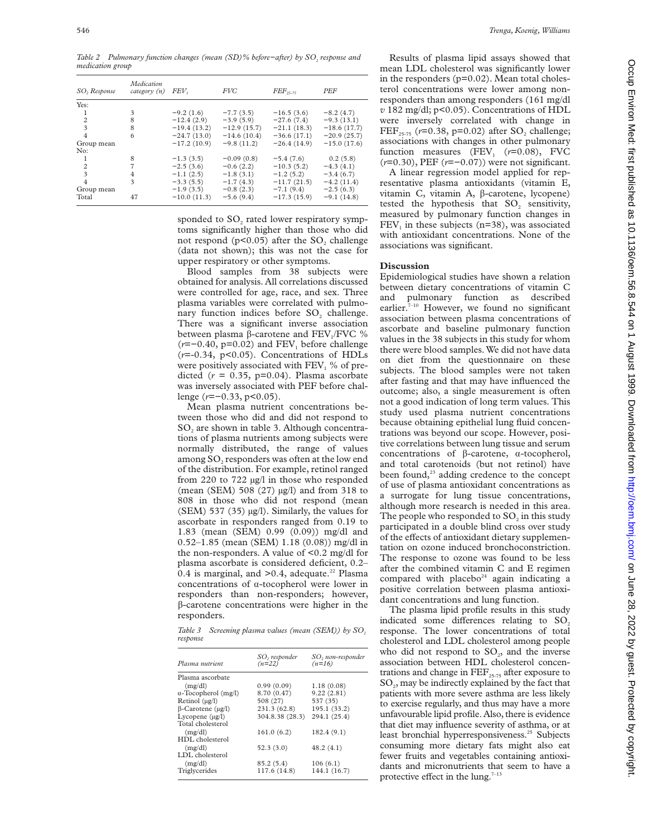*Table 2* Pulmonary function changes (mean (SD)% before-after) by SO<sub>2</sub> response and *medication group*

| $SO2$ Response          | Medication<br>category (n) | FEV,          | <b>FVC</b>    | $FEF_{25.75}$ | PEF           |
|-------------------------|----------------------------|---------------|---------------|---------------|---------------|
| Yes:                    |                            |               |               |               |               |
| 1                       | 3                          | $-9.2(1.6)$   | $-7.7(3.5)$   | $-16.5(3.6)$  | $-8.2(4.7)$   |
| $\overline{c}$          | 8                          | $-12.4(2.9)$  | $-3.9(5.9)$   | $-27.6(7.4)$  | $-9.3(13.1)$  |
| $\overline{\mathbf{3}}$ | 8                          | $-19.4(13.2)$ | $-12.9(15.7)$ | $-21.1(18.3)$ | $-18.6(17.7)$ |
| $\overline{4}$          | 6                          | $-24.7(13.0)$ | $-14.6(10.4)$ | $-36.6(17.1)$ | $-20.9(25.7)$ |
| Group mean              |                            | $-17.2(10.9)$ | $-9.8(11.2)$  | $-26.4(14.9)$ | $-15.0(17.6)$ |
| No:                     |                            |               |               |               |               |
|                         | 8                          | $-1.3(3.5)$   | $-0.09(0.8)$  | $-5.4(7.6)$   | 0.2(5.8)      |
| $\overline{2}$          | $\overline{7}$             | $-2.5(3.6)$   | $-0.6(2.2)$   | $-10.3(5.2)$  | $-4.3(4.1)$   |
| 3                       | 4                          | $-1.1(2.5)$   | $-1.8(3.1)$   | $-1.2(5.2)$   | $-3.4(6.7)$   |
| $\overline{4}$          | 3                          | $-3.3(5.5)$   | $-1.7(4.3)$   | $-11.7(21.5)$ | $-4.2(11.4)$  |
| Group mean              |                            | $-1.9(3.5)$   | $-0.8(2.3)$   | $-7.1(9.4)$   | $-2.5(6.3)$   |
| Total                   | 47                         | $-10.0(11.3)$ | $-5.6(9.4)$   | $-17.3(15.9)$ | $-9.1(14.8)$  |

sponded to SO<sub>2</sub> rated lower respiratory symptoms significantly higher than those who did not respond  $(p<0.05)$  after the SO<sub>2</sub> challenge (data not shown); this was not the case for upper respiratory or other symptoms.

Blood samples from 38 subjects were obtained for analysis. All correlations discussed were controlled for age, race, and sex. Three plasma variables were correlated with pulmonary function indices before  $SO<sub>2</sub>$  challenge. There was a significant inverse association between plasma  $\beta$ -carotene and FEV<sub>1</sub>/FVC %  $(r=-0.40, p=0.02)$  and FEV<sub>1</sub> before challenge (*r*=-0.34, p<0.05). Concentrations of HDLs were positively associated with FEV<sub>1</sub>  $%$  of predicted  $(r = 0.35, p=0.04)$ . Plasma ascorbate was inversely associated with PEF before challenge (*r*=−0.33, p<0.05).

Mean plasma nutrient concentrations between those who did and did not respond to  $SO<sub>2</sub>$  are shown in table 3. Although concentrations of plasma nutrients among subjects were normally distributed, the range of values among  $SO_2$  responders was often at the low end of the distribution. For example, retinol ranged from 220 to 722 µg/l in those who responded (mean (SEM) 508 (27) µg/l) and from 318 to 808 in those who did not respond (mean (SEM) 537 (35) µg/l). Similarly, the values for ascorbate in responders ranged from 0.19 to 1.83 (mean (SEM) 0.99 (0.09)) mg/dl and 0.52–1.85 (mean (SEM) 1.18 (0.08)) mg/dl in the non-responders. A value of <0.2 mg/dl for plasma ascorbate is considered deficient, 0.2– 0.4 is marginal, and  $>$ 0.4, adequate.<sup>22</sup> Plasma concentrations of  $\alpha$ -tocopherol were lower in responders than non-responders; however,  $\beta$ -carotene concentrations were higher in the responders.

*Table 3* Screening plasma values (mean (SEM)) by SO<sub>2</sub> *response*

| Plasma nutrient                | SO, responder<br>$(n=22)$ | SO, non-responder<br>$(n=16)$ |
|--------------------------------|---------------------------|-------------------------------|
| Plasma ascorbate               |                           |                               |
| (mg/dl)                        | 0.99(0.09)                | 1.18(0.08)                    |
| $\alpha$ -Tocopherol (mg/l)    | 8.70 (0.47)               | 9.22(2.81)                    |
| Retinol $(\mu g/l)$            | 508 (27)                  | 537 (35)                      |
| $\beta$ -Carotene ( $\mu$ g/l) | 231.3 (62.8)              | 195.1 (33.2)                  |
| Lycopene $(\mu g/l)$           | 304.8.38 (28.3)           | 294.1 (25.4)                  |
| Total cholesterol              |                           |                               |
| (mg/dl)                        | 161.0(6.2)                | 182.4(9.1)                    |
| HDL cholesterol                |                           |                               |
| (mg/dl)                        | 52.3(3.0)                 | 48.2(4.1)                     |
| LDL cholesterol                |                           |                               |
| (mg/dl)                        | 85.2(5.4)                 | 106(6.1)                      |
| Triglycerides                  | 117.6 (14.8)              | 144.1 (16.7)                  |
|                                |                           |                               |

Results of plasma lipid assays showed that mean LDL cholesterol was significantly lower in the responders (p=0.02). Mean total cholesterol concentrations were lower among nonresponders than among responders (161 mg/dl *v* 182 mg/dl; p<0.05). Concentrations of HDL were inversely correlated with change in FEF<sub>25-75</sub> ( $r=0.38$ ,  $p=0.02$ ) after SO<sub>2</sub> challenge; associations with changes in other pulmonary function measures  $(FEV_1$   $(r=0.08)$ , FVC (*r*=0.30), PEF (*r*=−0.07)) were not significant.

A linear regression model applied for representative plasma antioxidants (vitamin E, vitamin C, vitamin A,  $\beta$ -carotene, lycopene) tested the hypothesis that SO<sub>2</sub> sensitivity, measured by pulmonary function changes in  $FEV<sub>1</sub>$  in these subjects (n=38), was associated with antioxidant concentrations. None of the associations was significant.

## **Discussion**

Epidemiological studies have shown a relation between dietary concentrations of vitamin C and pulmonary function as described earlier. $7-10$  However, we found no significant association between plasma concentrations of ascorbate and baseline pulmonary function values in the 38 subjects in this study for whom there were blood samples. We did not have data on diet from the questionnaire on these subjects. The blood samples were not taken after fasting and that may have influenced the outcome; also, a single measurement is often not a good indication of long term values. This study used plasma nutrient concentrations because obtaining epithelial lung fluid concentrations was beyond our scope. However, positive correlations between lung tissue and serum concentrations of  $\beta$ -carotene,  $\alpha$ -tocopherol, and total carotenoids (but not retinol) have been found,<sup>23</sup> adding credence to the concept of use of plasma antioxidant concentrations as a surrogate for lung tissue concentrations, although more research is needed in this area. The people who responded to  $SO<sub>2</sub>$  in this study participated in a double blind cross over study of the effects of antioxidant dietary supplementation on ozone induced bronchoconstriction. The response to ozone was found to be less after the combined vitamin C and E regimen compared with placebo<sup>24</sup> again indicating a positive correlation between plasma antioxidant concentrations and lung function.

The plasma lipid profile results in this study indicated some differences relating to  $SO<sub>2</sub>$ response. The lower concentrations of total cholesterol and LDL cholesterol among people who did not respond to  $SO_2$ , and the inverse association between HDL cholesterol concentrations and change in  $\text{FEF}_{25-75}$  after exposure to SO<sub>2</sub>, may be indirectly explained by the fact that patients with more severe asthma are less likely to exercise regularly, and thus may have a more unfavourable lipid profile. Also, there is evidence that diet may influence severity of asthma, or at least bronchial hyperresponsiveness.<sup>25</sup> Subjects consuming more dietary fats might also eat fewer fruits and vegetables containing antioxidants and micronutrients that seem to have a protective effect in the lung. $7-13$